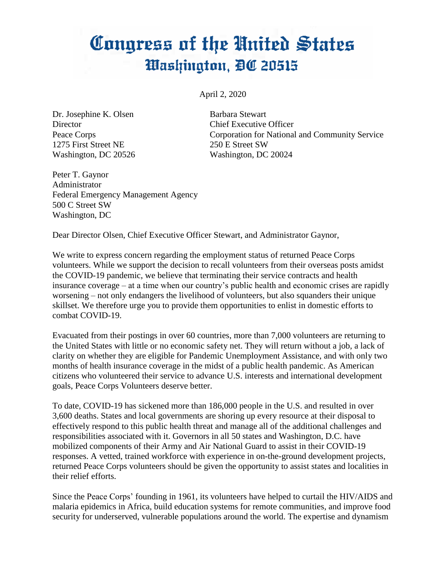## Congress of the United States Washington, DC 20515

April 2, 2020

Dr. Josephine K. Olsen Barbara Stewart Director Chief Executive Officer 1275 First Street NE 250 E Street SW Washington, DC 20526 Washington, DC 20024

Peace Corps Corporation for National and Community Service

Peter T. Gaynor Administrator Federal Emergency Management Agency 500 C Street SW Washington, DC

Dear Director Olsen, Chief Executive Officer Stewart, and Administrator Gaynor,

We write to express concern regarding the employment status of returned Peace Corps volunteers. While we support the decision to recall volunteers from their overseas posts amidst the COVID-19 pandemic, we believe that terminating their service contracts and health insurance coverage – at a time when our country's public health and economic crises are rapidly worsening – not only endangers the livelihood of volunteers, but also squanders their unique skillset. We therefore urge you to provide them opportunities to enlist in domestic efforts to combat COVID-19.

Evacuated from their postings in over 60 countries, more than 7,000 volunteers are returning to the United States with little or no economic safety net. They will return without a job, a lack of clarity on whether they are eligible for Pandemic Unemployment Assistance, and with only two months of health insurance coverage in the midst of a public health pandemic. As American citizens who volunteered their service to advance U.S. interests and international development goals, Peace Corps Volunteers deserve better.

To date, COVID-19 has sickened more than 186,000 people in the U.S. and resulted in over 3,600 deaths. States and local governments are shoring up every resource at their disposal to effectively respond to this public health threat and manage all of the additional challenges and responsibilities associated with it. Governors in all 50 states and Washington, D.C. have mobilized components of their Army and Air National Guard to assist in their COVID-19 responses. A vetted, trained workforce with experience in on-the-ground development projects, returned Peace Corps volunteers should be given the opportunity to assist states and localities in their relief efforts.

Since the Peace Corps' founding in 1961, its volunteers have helped to curtail the HIV/AIDS and malaria epidemics in Africa, build education systems for remote communities, and improve food security for underserved, vulnerable populations around the world. The expertise and dynamism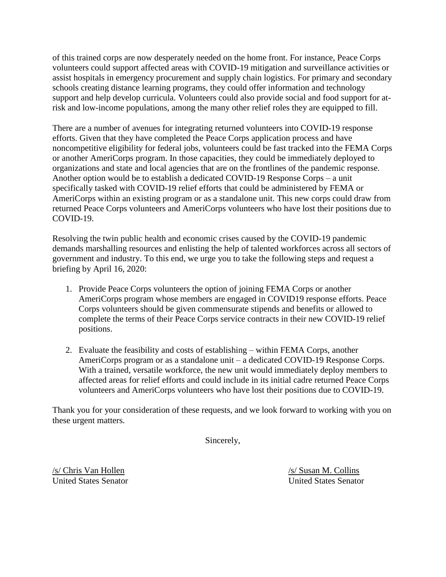of this trained corps are now desperately needed on the home front. For instance, Peace Corps volunteers could support affected areas with COVID-19 mitigation and surveillance activities or assist hospitals in emergency procurement and supply chain logistics. For primary and secondary schools creating distance learning programs, they could offer information and technology support and help develop curricula. Volunteers could also provide social and food support for atrisk and low-income populations, among the many other relief roles they are equipped to fill.

There are a number of avenues for integrating returned volunteers into COVID-19 response efforts. Given that they have completed the Peace Corps application process and have noncompetitive eligibility for federal jobs, volunteers could be fast tracked into the FEMA Corps or another AmeriCorps program. In those capacities, they could be immediately deployed to organizations and state and local agencies that are on the frontlines of the pandemic response. Another option would be to establish a dedicated COVID-19 Response Corps – a unit specifically tasked with COVID-19 relief efforts that could be administered by FEMA or AmeriCorps within an existing program or as a standalone unit. This new corps could draw from returned Peace Corps volunteers and AmeriCorps volunteers who have lost their positions due to COVID-19.

Resolving the twin public health and economic crises caused by the COVID-19 pandemic demands marshalling resources and enlisting the help of talented workforces across all sectors of government and industry. To this end, we urge you to take the following steps and request a briefing by April 16, 2020:

- 1. Provide Peace Corps volunteers the option of joining FEMA Corps or another AmeriCorps program whose members are engaged in COVID19 response efforts. Peace Corps volunteers should be given commensurate stipends and benefits or allowed to complete the terms of their Peace Corps service contracts in their new COVID-19 relief positions.
- 2. Evaluate the feasibility and costs of establishing within FEMA Corps, another AmeriCorps program or as a standalone unit – a dedicated COVID-19 Response Corps. With a trained, versatile workforce, the new unit would immediately deploy members to affected areas for relief efforts and could include in its initial cadre returned Peace Corps volunteers and AmeriCorps volunteers who have lost their positions due to COVID-19.

Thank you for your consideration of these requests, and we look forward to working with you on these urgent matters.

Sincerely,

/s/ Chris Van Hollen /s/ Susan M. Collins United States Senator United States Senator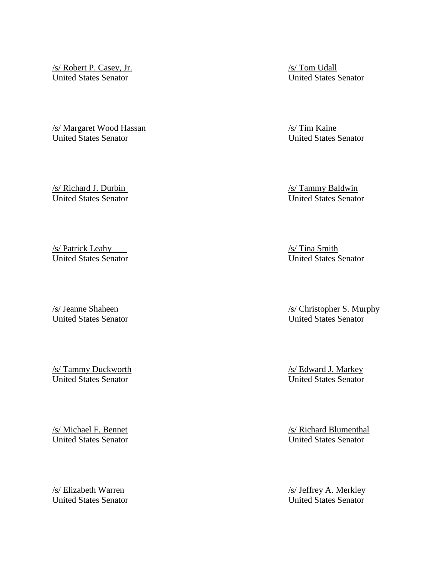(s/ Robert P. Casey, Jr. (s/ Tom Udall)<br>
1981 - *Salis Senator*<br>
1982 - *Salis Senator*<br>
1984 - *States Senator* United States Senator United States Senator

/s/ Margaret Wood Hassan /s/ Tim Kaine United States Senator United States Senator

United States Senator United States Senator

/s/ Patrick Leahy /s/ Tina Smith United States Senator United States Senator

(s/ Tammy Duckworth /s/ Tammy Duckworth /s/ Edward J. Markey /s/ Edward J. Markey /s/ Edward J. Markey /s/ Edward J. Markey /s/ Edward J. Markey /s/ Edward J. Markey /s/ Edward J. Markey /s/ Edward J. Markey /s/ Edward J. United States Senator United States Senator

/s/ Michael F. Bennet /s/ Richard Blumenthal United States Senator United States Senator

United States Senator United States Senator

/s/ Richard J. Durbin /s/ Tammy Baldwin

/s/ Jeanne Shaheen /s/ Christopher S. Murphy United States Senator United States Senator

Vertext Assembly Assembly Assembly Assembly Assembly Assembly Assembly Assembly Assembly Assembly United States Senator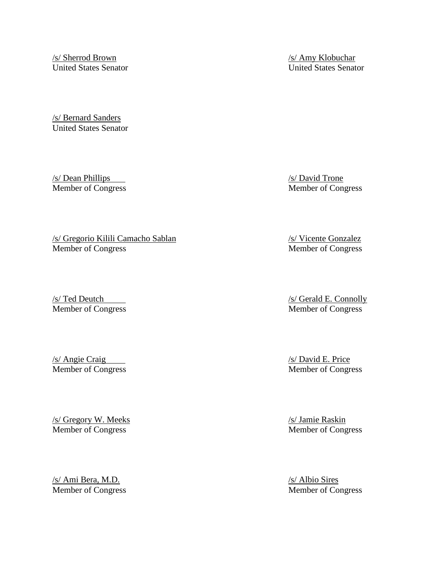/s/ Sherrod Brown /s/ Amy Klobuchar United States Senator United States Senator

/s/ Bernard Sanders United States Senator

/s/ Dean Phillips /s/ David Trone Member of Congress Member of Congress

/s/ Gregorio Kilili Camacho Sablan /s/ Vicente Gonzalez Member of Congress Member of Congress

/s/ Angie Craig /s/ David E. Price /s/ David E. Price /s/ David E. Price /s/ David E. Price /s/ David E. Price /s/ David E. Price /s/ David E. Price /s/ David E. Price /s/ David E. Price /s/ David E. Price /s/ David E. Pri

/s/ Gregory W. Meeks /s/ Jamie Raskin Member of Congress Member of Congress

/s/ Ami Bera, M.D.<br>
Member of Congress<br>
Member of Co

/s/ Ted Deutch /s/ Gerald E. Connolly<br>
Member of Congress Member of Congress Member of Congress

Member of Congress

Member of Congress